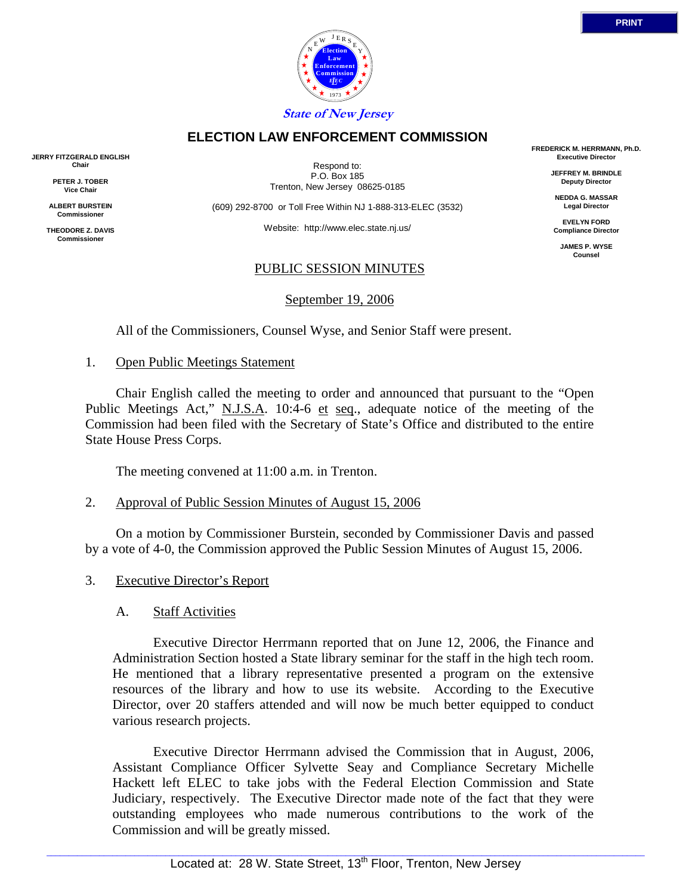



 1973 **State of New Jersey**

## **ELECTION LAW ENFORCEMENT COMMISSION**

**JERRY FITZGERALD ENGLISH Chair**

> **PETER J. TOBER Vice Chair**

**ALBERT BURSTEIN Commissioner**

**THEODORE Z. DAVIS Commissione** 

Respond to: P.O. Box 185 Trenton, New Jersey 08625-0185

(609) 292-8700 or Toll Free Within NJ 1-888-313-ELEC (3532)

Website: http://www.elec.state.nj.us/

#### PUBLIC SESSION MINUTES

September 19, 2006

All of the Commissioners, Counsel Wyse, and Senior Staff were present.

1. Open Public Meetings Statement

 Chair English called the meeting to order and announced that pursuant to the "Open Public Meetings Act," N.J.S.A. 10:4-6 et seq., adequate notice of the meeting of the Commission had been filed with the Secretary of State's Office and distributed to the entire State House Press Corps.

The meeting convened at 11:00 a.m. in Trenton.

#### 2. Approval of Public Session Minutes of August 15, 2006

 On a motion by Commissioner Burstein, seconded by Commissioner Davis and passed by a vote of 4-0, the Commission approved the Public Session Minutes of August 15, 2006.

3. Executive Director's Report

## A. Staff Activities

 Executive Director Herrmann reported that on June 12, 2006, the Finance and Administration Section hosted a State library seminar for the staff in the high tech room. He mentioned that a library representative presented a program on the extensive resources of the library and how to use its website. According to the Executive Director, over 20 staffers attended and will now be much better equipped to conduct various research projects.

 Executive Director Herrmann advised the Commission that in August, 2006, Assistant Compliance Officer Sylvette Seay and Compliance Secretary Michelle Hackett left ELEC to take jobs with the Federal Election Commission and State Judiciary, respectively. The Executive Director made note of the fact that they were outstanding employees who made numerous contributions to the work of the Commission and will be greatly missed.

**FREDERICK M. HERRMANN, Ph.D. Executive Director**

> **JEFFREY M. BRINDLE Deputy Director**

**NEDDA G. MASSAR Legal Director**

**EVELYN FORD Compliance Director**

**JAMES P. WYSE Counsel**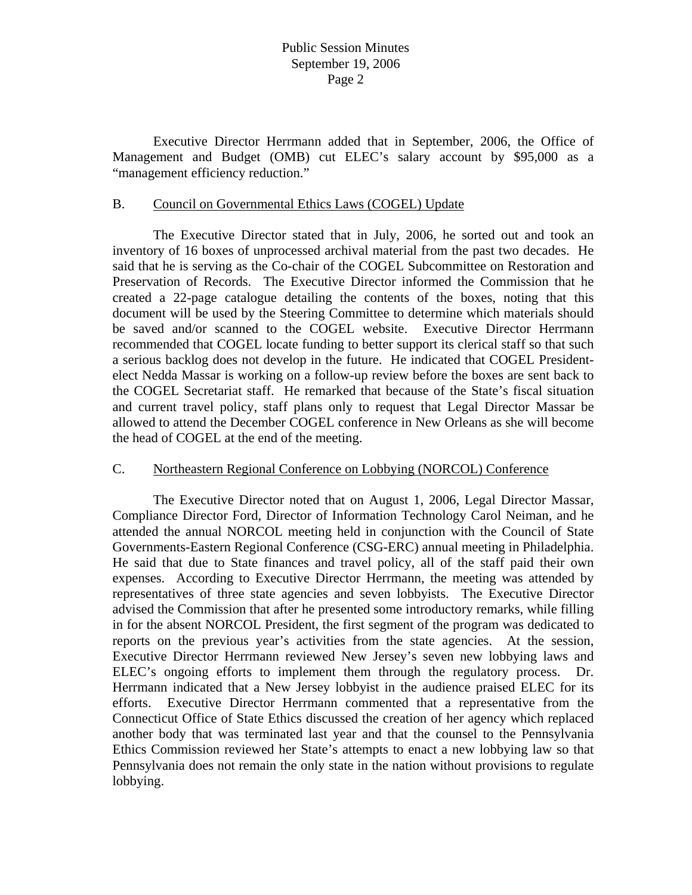Executive Director Herrmann added that in September, 2006, the Office of Management and Budget (OMB) cut ELEC's salary account by \$95,000 as a "management efficiency reduction."

#### B. Council on Governmental Ethics Laws (COGEL) Update

 The Executive Director stated that in July, 2006, he sorted out and took an inventory of 16 boxes of unprocessed archival material from the past two decades. He said that he is serving as the Co-chair of the COGEL Subcommittee on Restoration and Preservation of Records. The Executive Director informed the Commission that he created a 22-page catalogue detailing the contents of the boxes, noting that this document will be used by the Steering Committee to determine which materials should be saved and/or scanned to the COGEL website. Executive Director Herrmann recommended that COGEL locate funding to better support its clerical staff so that such a serious backlog does not develop in the future. He indicated that COGEL Presidentelect Nedda Massar is working on a follow-up review before the boxes are sent back to the COGEL Secretariat staff. He remarked that because of the State's fiscal situation and current travel policy, staff plans only to request that Legal Director Massar be allowed to attend the December COGEL conference in New Orleans as she will become the head of COGEL at the end of the meeting.

#### C. Northeastern Regional Conference on Lobbying (NORCOL) Conference

 The Executive Director noted that on August 1, 2006, Legal Director Massar, Compliance Director Ford, Director of Information Technology Carol Neiman, and he attended the annual NORCOL meeting held in conjunction with the Council of State Governments-Eastern Regional Conference (CSG-ERC) annual meeting in Philadelphia. He said that due to State finances and travel policy, all of the staff paid their own expenses. According to Executive Director Herrmann, the meeting was attended by representatives of three state agencies and seven lobbyists. The Executive Director advised the Commission that after he presented some introductory remarks, while filling in for the absent NORCOL President, the first segment of the program was dedicated to reports on the previous year's activities from the state agencies. At the session, Executive Director Herrmann reviewed New Jersey's seven new lobbying laws and ELEC's ongoing efforts to implement them through the regulatory process. Dr. Herrmann indicated that a New Jersey lobbyist in the audience praised ELEC for its efforts. Executive Director Herrmann commented that a representative from the Connecticut Office of State Ethics discussed the creation of her agency which replaced another body that was terminated last year and that the counsel to the Pennsylvania Ethics Commission reviewed her State's attempts to enact a new lobbying law so that Pennsylvania does not remain the only state in the nation without provisions to regulate lobbying.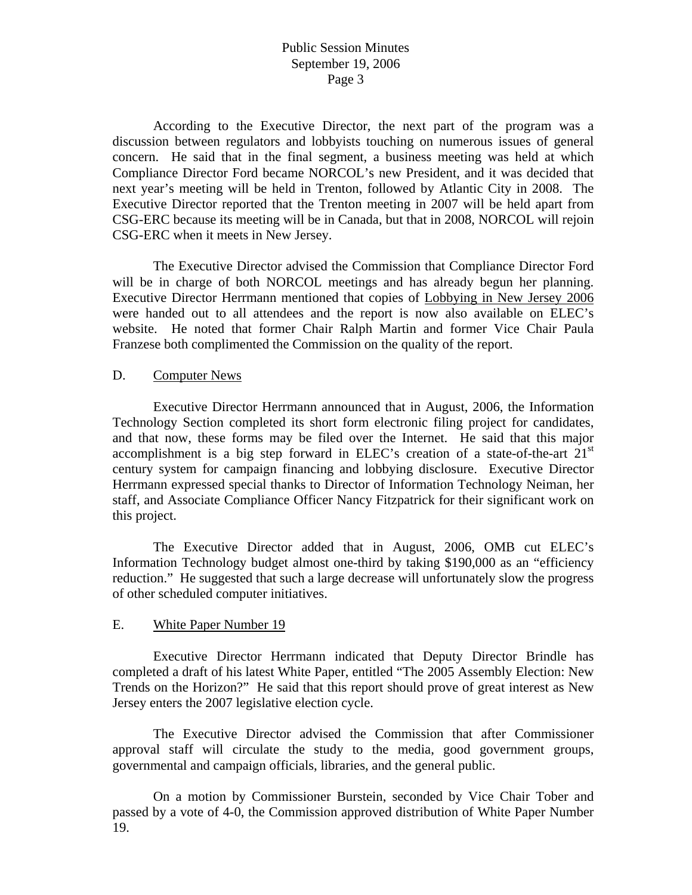According to the Executive Director, the next part of the program was a discussion between regulators and lobbyists touching on numerous issues of general concern. He said that in the final segment, a business meeting was held at which Compliance Director Ford became NORCOL's new President, and it was decided that next year's meeting will be held in Trenton, followed by Atlantic City in 2008. The Executive Director reported that the Trenton meeting in 2007 will be held apart from CSG-ERC because its meeting will be in Canada, but that in 2008, NORCOL will rejoin CSG-ERC when it meets in New Jersey.

 The Executive Director advised the Commission that Compliance Director Ford will be in charge of both NORCOL meetings and has already begun her planning. Executive Director Herrmann mentioned that copies of Lobbying in New Jersey 2006 were handed out to all attendees and the report is now also available on ELEC's website. He noted that former Chair Ralph Martin and former Vice Chair Paula Franzese both complimented the Commission on the quality of the report.

#### D. Computer News

 Executive Director Herrmann announced that in August, 2006, the Information Technology Section completed its short form electronic filing project for candidates, and that now, these forms may be filed over the Internet. He said that this major accomplishment is a big step forward in ELEC's creation of a state-of-the-art 21<sup>st</sup> century system for campaign financing and lobbying disclosure. Executive Director Herrmann expressed special thanks to Director of Information Technology Neiman, her staff, and Associate Compliance Officer Nancy Fitzpatrick for their significant work on this project.

 The Executive Director added that in August, 2006, OMB cut ELEC's Information Technology budget almost one-third by taking \$190,000 as an "efficiency reduction." He suggested that such a large decrease will unfortunately slow the progress of other scheduled computer initiatives.

## E. White Paper Number 19

 Executive Director Herrmann indicated that Deputy Director Brindle has completed a draft of his latest White Paper, entitled "The 2005 Assembly Election: New Trends on the Horizon?" He said that this report should prove of great interest as New Jersey enters the 2007 legislative election cycle.

 The Executive Director advised the Commission that after Commissioner approval staff will circulate the study to the media, good government groups, governmental and campaign officials, libraries, and the general public.

 On a motion by Commissioner Burstein, seconded by Vice Chair Tober and passed by a vote of 4-0, the Commission approved distribution of White Paper Number 19.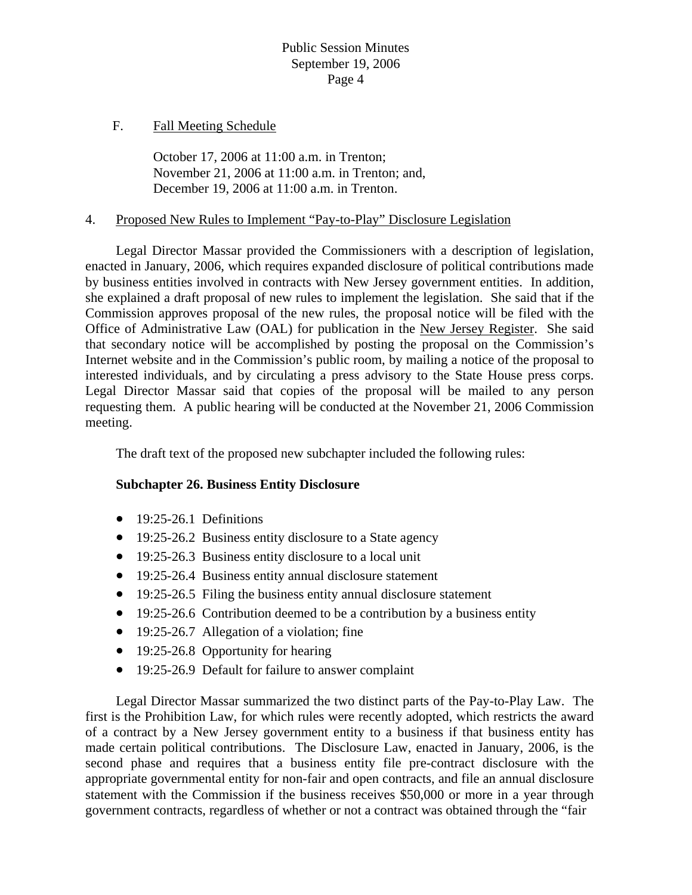### F. Fall Meeting Schedule

 October 17, 2006 at 11:00 a.m. in Trenton; November 21, 2006 at 11:00 a.m. in Trenton; and, December 19, 2006 at 11:00 a.m. in Trenton.

#### 4. Proposed New Rules to Implement "Pay-to-Play" Disclosure Legislation

 Legal Director Massar provided the Commissioners with a description of legislation, enacted in January, 2006, which requires expanded disclosure of political contributions made by business entities involved in contracts with New Jersey government entities. In addition, she explained a draft proposal of new rules to implement the legislation. She said that if the Commission approves proposal of the new rules, the proposal notice will be filed with the Office of Administrative Law (OAL) for publication in the New Jersey Register. She said that secondary notice will be accomplished by posting the proposal on the Commission's Internet website and in the Commission's public room, by mailing a notice of the proposal to interested individuals, and by circulating a press advisory to the State House press corps. Legal Director Massar said that copies of the proposal will be mailed to any person requesting them. A public hearing will be conducted at the November 21, 2006 Commission meeting.

The draft text of the proposed new subchapter included the following rules:

## **Subchapter 26. Business Entity Disclosure**

- $\bullet$  19:25-26.1 Definitions
- 19:25-26.2 Business entity disclosure to a State agency
- 19:25-26.3 Business entity disclosure to a local unit
- 19:25-26.4 Business entity annual disclosure statement
- 19:25-26.5 Filing the business entity annual disclosure statement
- 19:25-26.6 Contribution deemed to be a contribution by a business entity
- 19:25-26.7 Allegation of a violation; fine
- 19:25-26.8 Opportunity for hearing
- 19:25-26.9 Default for failure to answer complaint

 Legal Director Massar summarized the two distinct parts of the Pay-to-Play Law. The first is the Prohibition Law, for which rules were recently adopted, which restricts the award of a contract by a New Jersey government entity to a business if that business entity has made certain political contributions. The Disclosure Law, enacted in January, 2006, is the second phase and requires that a business entity file pre-contract disclosure with the appropriate governmental entity for non-fair and open contracts, and file an annual disclosure statement with the Commission if the business receives \$50,000 or more in a year through government contracts, regardless of whether or not a contract was obtained through the "fair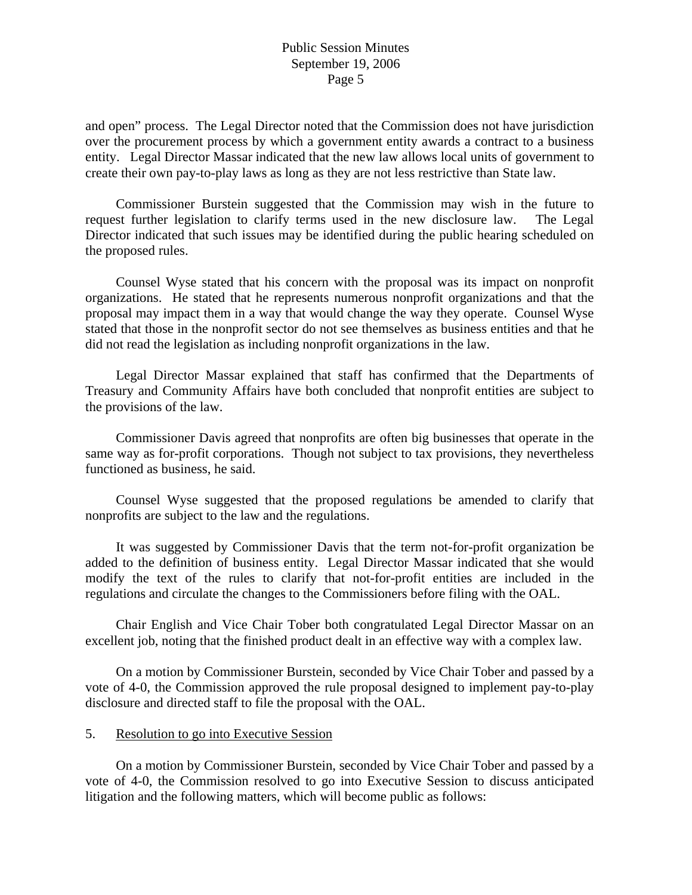and open" process. The Legal Director noted that the Commission does not have jurisdiction over the procurement process by which a government entity awards a contract to a business entity. Legal Director Massar indicated that the new law allows local units of government to create their own pay-to-play laws as long as they are not less restrictive than State law.

 Commissioner Burstein suggested that the Commission may wish in the future to request further legislation to clarify terms used in the new disclosure law. The Legal Director indicated that such issues may be identified during the public hearing scheduled on the proposed rules.

 Counsel Wyse stated that his concern with the proposal was its impact on nonprofit organizations. He stated that he represents numerous nonprofit organizations and that the proposal may impact them in a way that would change the way they operate. Counsel Wyse stated that those in the nonprofit sector do not see themselves as business entities and that he did not read the legislation as including nonprofit organizations in the law.

 Legal Director Massar explained that staff has confirmed that the Departments of Treasury and Community Affairs have both concluded that nonprofit entities are subject to the provisions of the law.

 Commissioner Davis agreed that nonprofits are often big businesses that operate in the same way as for-profit corporations. Though not subject to tax provisions, they nevertheless functioned as business, he said.

 Counsel Wyse suggested that the proposed regulations be amended to clarify that nonprofits are subject to the law and the regulations.

 It was suggested by Commissioner Davis that the term not-for-profit organization be added to the definition of business entity. Legal Director Massar indicated that she would modify the text of the rules to clarify that not-for-profit entities are included in the regulations and circulate the changes to the Commissioners before filing with the OAL.

 Chair English and Vice Chair Tober both congratulated Legal Director Massar on an excellent job, noting that the finished product dealt in an effective way with a complex law.

 On a motion by Commissioner Burstein, seconded by Vice Chair Tober and passed by a vote of 4-0, the Commission approved the rule proposal designed to implement pay-to-play disclosure and directed staff to file the proposal with the OAL.

## 5. Resolution to go into Executive Session

 On a motion by Commissioner Burstein, seconded by Vice Chair Tober and passed by a vote of 4-0, the Commission resolved to go into Executive Session to discuss anticipated litigation and the following matters, which will become public as follows: